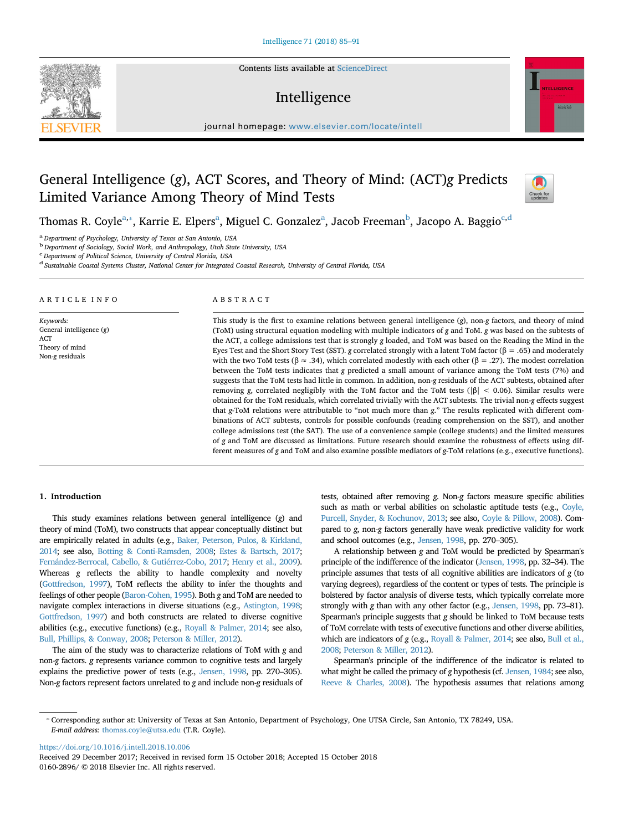Contents lists available at [ScienceDirect](http://www.sciencedirect.com/science/journal/01602896)

# Intelligence

journal homepage: [www.elsevier.com/locate/intell](https://www.elsevier.com/locate/intell)

# General Intelligence (*g*), ACT Scores, and Theory of Mind: (ACT)*g* Predicts Limited Variance Among Theory of Mind Tests



Thomas R. Coyle<sup>[a,](#page-0-0)</sup>\*, K[a](#page-0-0)rrie E. Elpers<sup>a</sup>, Miguel C. Gonzalez<sup>a</sup>, Jaco[b](#page-0-2) Freeman<sup>b</sup>, Ja[c](#page-0-3)opo A. Baggio<sup>c[,d](#page-0-4)</sup>

<span id="page-0-0"></span><sup>a</sup>*Department of Psychology, University of Texas at San Antonio, USA*

<span id="page-0-2"></span><sup>b</sup>*Department of Sociology, Social Work, and Anthropology, Utah State University, USA*

<span id="page-0-3"></span>c *Department of Political Science, University of Central Florida, USA*

<span id="page-0-4"></span><sup>d</sup> *Sustainable Coastal Systems Cluster, National Center for Integrated Coastal Research, University of Central Florida, USA*

## ARTICLE INFO

*Keywords:* General intelligence (*g*) ACT Theory of mind Non-*g* residuals

# ABSTRACT

This study is the first to examine relations between general intelligence (*g*), non-*g* factors, and theory of mind (ToM) using structural equation modeling with multiple indicators of *g* and ToM. *g* was based on the subtests of the ACT, a college admissions test that is strongly *g* loaded, and ToM was based on the Reading the Mind in the Eyes Test and the Short Story Test (SST). *g* correlated strongly with a latent ToM factor (β = .65) and moderately with the two ToM tests ( $\beta \approx .34$ ), which correlated modestly with each other ( $\beta = .27$ ). The modest correlation between the ToM tests indicates that *g* predicted a small amount of variance among the ToM tests (7%) and suggests that the ToM tests had little in common. In addition, non-*g* residuals of the ACT subtests, obtained after removing *g*, correlated negligibly with the ToM factor and the ToM tests ( $|\beta|$  < 0.06). Similar results were obtained for the ToM residuals, which correlated trivially with the ACT subtests. The trivial non-*g* effects suggest that *g*-ToM relations were attributable to "not much more than *g*." The results replicated with different combinations of ACT subtests, controls for possible confounds (reading comprehension on the SST), and another college admissions test (the SAT). The use of a convenience sample (college students) and the limited measures of *g* and ToM are discussed as limitations. Future research should examine the robustness of effects using different measures of *g* and ToM and also examine possible mediators of *g*-ToM relations (e.g., executive functions).

### **1. Introduction**

This study examines relations between general intelligence (*g*) and theory of mind (ToM), two constructs that appear conceptually distinct but are empirically related in adults (e.g., [Baker, Peterson, Pulos, & Kirkland,](#page-5-0) [2014;](#page-5-0) see also, [Botting & Conti-Ramsden, 2008;](#page-6-0) [Estes & Bartsch, 2017](#page-6-1); [Fernández-Berrocal, Cabello, & Gutiérrez-Cobo, 2017;](#page-6-2) [Henry et al., 2009\)](#page-6-3). Whereas *g* reflects the ability to handle complexity and novelty [\(Gottfredson, 1997](#page-6-4)), ToM reflects the ability to infer the thoughts and feelings of other people [\(Baron-Cohen, 1995](#page-5-1)). Both *g* and ToM are needed to navigate complex interactions in diverse situations (e.g., [Astington, 1998](#page-5-2); [Gottfredson, 1997](#page-6-4)) and both constructs are related to diverse cognitive abilities (e.g., executive functions) (e.g., [Royall & Palmer, 2014;](#page-6-5) see also, [Bull, Phillips, & Conway, 2008](#page-6-6); [Peterson & Miller, 2012](#page-6-7)).

The aim of the study was to characterize relations of ToM with *g* and non-*g* factors. *g* represents variance common to cognitive tests and largely explains the predictive power of tests (e.g., [Jensen, 1998](#page-6-8), pp. 270–305). Non-*g* factors represent factors unrelated to *g* and include non-*g* residuals of tests, obtained after removing *g*. Non-*g* factors measure specific abilities such as math or verbal abilities on scholastic aptitude tests (e.g., [Coyle,](#page-6-9) [Purcell, Snyder, & Kochunov, 2013](#page-6-9); see also, [Coyle & Pillow, 2008](#page-6-10)). Compared to *g*, non-*g* factors generally have weak predictive validity for work and school outcomes (e.g., [Jensen, 1998,](#page-6-8) pp. 270–305).

A relationship between *g* and ToM would be predicted by Spearman's principle of the indifference of the indicator [\(Jensen, 1998](#page-6-8), pp. 32–34). The principle assumes that tests of all cognitive abilities are indicators of *g* (to varying degrees), regardless of the content or types of tests. The principle is bolstered by factor analysis of diverse tests, which typically correlate more strongly with *g* than with any other factor (e.g., [Jensen, 1998](#page-6-8), pp. 73–81). Spearman's principle suggests that *g* should be linked to ToM because tests of ToM correlate with tests of executive functions and other diverse abilities, which are indicators of *g* (e.g., [Royall & Palmer, 2014](#page-6-5); see also, [Bull et al.,](#page-6-6) [2008;](#page-6-6) [Peterson & Miller, 2012\)](#page-6-7).

Spearman's principle of the indifference of the indicator is related to what might be called the primacy of *g* hypothesis (cf. [Jensen, 1984](#page-6-11); see also, [Reeve & Charles, 2008](#page-6-12)). The hypothesis assumes that relations among

<https://doi.org/10.1016/j.intell.2018.10.006>

Received 29 December 2017; Received in revised form 15 October 2018; Accepted 15 October 2018 0160-2896/ © 2018 Elsevier Inc. All rights reserved.



<span id="page-0-1"></span><sup>⁎</sup> Corresponding author at: University of Texas at San Antonio, Department of Psychology, One UTSA Circle, San Antonio, TX 78249, USA. *E-mail address:* [thomas.coyle@utsa.edu](mailto:thomas.coyle@utsa.edu) (T.R. Coyle).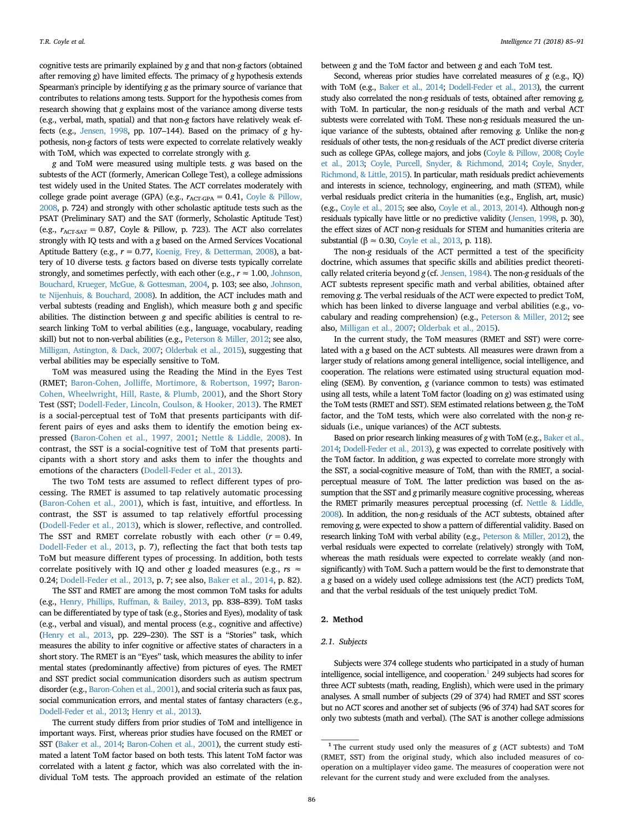cognitive tests are primarily explained by *g* and that non-*g* factors (obtained after removing *g*) have limited effects. The primacy of *g* hypothesis extends Spearman's principle by identifying *g* as the primary source of variance that contributes to relations among tests. Support for the hypothesis comes from research showing that *g* explains most of the variance among diverse tests (e.g., verbal, math, spatial) and that non-*g* factors have relatively weak effects (e.g., [Jensen, 1998,](#page-6-8) pp. 107–144). Based on the primacy of *g* hypothesis, non-*g* factors of tests were expected to correlate relatively weakly with ToM, which was expected to correlate strongly with *g*.

*g* and ToM were measured using multiple tests. *g* was based on the subtests of the ACT (formerly, American College Test), a college admissions test widely used in the United States. The ACT correlates moderately with college grade point average (GPA) (e.g.,  $r_{\text{ACT-GPA}} = 0.41$ , [Coyle & Pillow,](#page-6-10) [2008,](#page-6-10) p. 724) and strongly with other scholastic aptitude tests such as the PSAT (Preliminary SAT) and the SAT (formerly, Scholastic Aptitude Test) (e.g.,  $r_{\text{ACT-SAT}} = 0.87$ , Coyle & Pillow, p. 723). The ACT also correlates strongly with IQ tests and with a *g* based on the Armed Services Vocational Aptitude Battery (e.g., *r*= 0.77, [Koenig, Frey, & Detterman, 2008](#page-6-13)), a battery of 10 diverse tests. *g* factors based on diverse tests typically correlate strongly, and sometimes perfectly, with each other (e.g.,  $r \approx 1.00$ , [Johnson,](#page-6-14) [Bouchard, Krueger, McGue, & Gottesman, 2004,](#page-6-14) p. 103; see also, [Johnson,](#page-6-15) [te Nijenhuis, & Bouchard, 2008](#page-6-15)). In addition, the ACT includes math and verbal subtests (reading and English), which measure both *g* and specific abilities. The distinction between *g* and specific abilities is central to research linking ToM to verbal abilities (e.g., language, vocabulary, reading skill) but not to non-verbal abilities (e.g., [Peterson & Miller, 2012](#page-6-7); see also, [Milligan, Astington, & Dack, 2007](#page-6-16); [Olderbak et al., 2015](#page-6-17)), suggesting that verbal abilities may be especially sensitive to ToM.

ToM was measured using the Reading the Mind in the Eyes Test (RMET; [Baron-Cohen, Jolliffe, Mortimore, & Robertson, 1997;](#page-5-3) [Baron-](#page-5-4)[Cohen, Wheelwright, Hill, Raste, & Plumb, 2001\)](#page-5-4), and the Short Story Test (SST; [Dodell-Feder, Lincoln, Coulson, & Hooker, 2013](#page-6-18)). The RMET is a social-perceptual test of ToM that presents participants with different pairs of eyes and asks them to identify the emotion being expressed ([Baron-Cohen et al., 1997, 2001;](#page-5-3) [Nettle & Liddle, 2008\)](#page-6-19). In contrast, the SST is a social-cognitive test of ToM that presents participants with a short story and asks them to infer the thoughts and emotions of the characters ([Dodell-Feder et al., 2013](#page-6-18)).

The two ToM tests are assumed to reflect different types of processing. The RMET is assumed to tap relatively automatic processing ([Baron-Cohen et al., 2001\)](#page-5-4), which is fast, intuitive, and effortless. In contrast, the SST is assumed to tap relatively effortful processing ([Dodell-Feder et al., 2013](#page-6-18)), which is slower, reflective, and controlled. The SST and RMET correlate robustly with each other  $(r = 0.49,$ [Dodell-Feder et al., 2013,](#page-6-18) p. 7), reflecting the fact that both tests tap ToM but measure different types of processing. In addition, both tests correlate positively with IQ and other *g* loaded measures (e.g.,  $rs \approx$ 0.24; [Dodell-Feder et al., 2013](#page-6-18), p. 7; see also, [Baker et al., 2014](#page-5-0), p. 82).

The SST and RMET are among the most common ToM tasks for adults (e.g., [Henry, Phillips, Ruffman, & Bailey, 2013,](#page-6-20) pp. 838–839). ToM tasks can be differentiated by type of task (e.g., Stories and Eyes), modality of task (e.g., verbal and visual), and mental process (e.g., cognitive and affective) [\(Henry et al., 2013](#page-6-20), pp. 229–230). The SST is a "Stories" task, which measures the ability to infer cognitive or affective states of characters in a short story. The RMET is an "Eyes" task, which measures the ability to infer mental states (predominantly affective) from pictures of eyes. The RMET and SST predict social communication disorders such as autism spectrum disorder (e.g., [Baron-Cohen et al., 2001\)](#page-5-4), and social criteria such as faux pas, social communication errors, and mental states of fantasy characters (e.g., [Dodell-Feder et al., 2013](#page-6-18); [Henry et al., 2013\)](#page-6-20).

The current study differs from prior studies of ToM and intelligence in important ways. First, whereas prior studies have focused on the RMET or SST ([Baker et al., 2014](#page-5-0); [Baron-Cohen et al., 2001](#page-5-4)), the current study estimated a latent ToM factor based on both tests. This latent ToM factor was correlated with a latent *g* factor, which was also correlated with the individual ToM tests. The approach provided an estimate of the relation between *g* and the ToM factor and between *g* and each ToM test.

Second, whereas prior studies have correlated measures of *g* (e.g., IQ) with ToM (e.g., [Baker et al., 2014](#page-5-0); [Dodell-Feder et al., 2013](#page-6-18)), the current study also correlated the non-*g* residuals of tests, obtained after removing *g*, with ToM. In particular, the non-*g* residuals of the math and verbal ACT subtests were correlated with ToM. These non-*g* residuals measured the unique variance of the subtests, obtained after removing *g*. Unlike the non-*g* residuals of other tests, the non-*g* residuals of the ACT predict diverse criteria such as college GPAs, college majors, and jobs [\(Coyle & Pillow, 2008;](#page-6-10) [Coyle](#page-6-9) [et al., 2013;](#page-6-9) [Coyle, Purcell, Snyder, & Richmond, 2014](#page-6-21); [Coyle, Snyder,](#page-6-22) [Richmond, & Little, 2015\)](#page-6-22). In particular, math residuals predict achievements and interests in science, technology, engineering, and math (STEM), while verbal residuals predict criteria in the humanities (e.g., English, art, music) (e.g., [Coyle et al., 2015](#page-6-22); see also, [Coyle et al., 2013, 2014](#page-6-9)). Although non-*g* residuals typically have little or no predictive validity [\(Jensen, 1998](#page-6-8), p. 30), the effect sizes of ACT non-*g* residuals for STEM and humanities criteria are substantial ( $\beta \approx 0.30$ , [Coyle et al., 2013](#page-6-9), p. 118).

The non-*g* residuals of the ACT permitted a test of the specificity doctrine, which assumes that specific skills and abilities predict theoretically related criteria beyond *g* (cf. [Jensen, 1984\)](#page-6-11). The non-*g* residuals of the ACT subtests represent specific math and verbal abilities, obtained after removing *g*. The verbal residuals of the ACT were expected to predict ToM, which has been linked to diverse language and verbal abilities (e.g., vocabulary and reading comprehension) (e.g., [Peterson & Miller, 2012](#page-6-7); see also, [Milligan et al., 2007](#page-6-16); [Olderbak et al., 2015](#page-6-17)).

In the current study, the ToM measures (RMET and SST) were correlated with a *g* based on the ACT subtests. All measures were drawn from a larger study of relations among general intelligence, social intelligence, and cooperation. The relations were estimated using structural equation modeling (SEM). By convention, *g* (variance common to tests) was estimated using all tests, while a latent ToM factor (loading on *g*) was estimated using the ToM tests (RMET and SST). SEM estimated relations between *g*, the ToM factor, and the ToM tests, which were also correlated with the non-*g* residuals (i.e., unique variances) of the ACT subtests.

Based on prior research linking measures of *g* with ToM (e.g., [Baker et al.,](#page-5-0) [2014](#page-5-0); [Dodell-Feder et al., 2013](#page-6-18)), *g* was expected to correlate positively with the ToM factor. In addition, *g* was expected to correlate more strongly with the SST, a social-cognitive measure of ToM, than with the RMET, a socialperceptual measure of ToM. The latter prediction was based on the assumption that the SST and *g* primarily measure cognitive processing, whereas the RMET primarily measures perceptual processing (cf. [Nettle & Liddle,](#page-6-19) [2008](#page-6-19)). In addition, the non-*g* residuals of the ACT subtests, obtained after removing *g*, were expected to show a pattern of differential validity. Based on research linking ToM with verbal ability (e.g., [Peterson & Miller, 2012\)](#page-6-7), the verbal residuals were expected to correlate (relatively) strongly with ToM, whereas the math residuals were expected to correlate weakly (and nonsignificantly) with ToM. Such a pattern would be the first to demonstrate that a *g* based on a widely used college admissions test (the ACT) predicts ToM, and that the verbal residuals of the test uniquely predict ToM.

## **2. Method**

# *2.1. Subjects*

Subjects were 374 college students who participated in a study of human intelligence, social intelligence, and cooperation. $1$  249 subjects had scores for three ACT subtests (math, reading, English), which were used in the primary analyses. A small number of subjects (29 of 374) had RMET and SST scores but no ACT scores and another set of subjects (96 of 374) had SAT scores for only two subtests (math and verbal). (The SAT is another college admissions

<span id="page-1-0"></span><sup>1</sup> The current study used only the measures of *<sup>g</sup>* (ACT subtests) and ToM (RMET, SST) from the original study, which also included measures of cooperation on a multiplayer video game. The measures of cooperation were not relevant for the current study and were excluded from the analyses.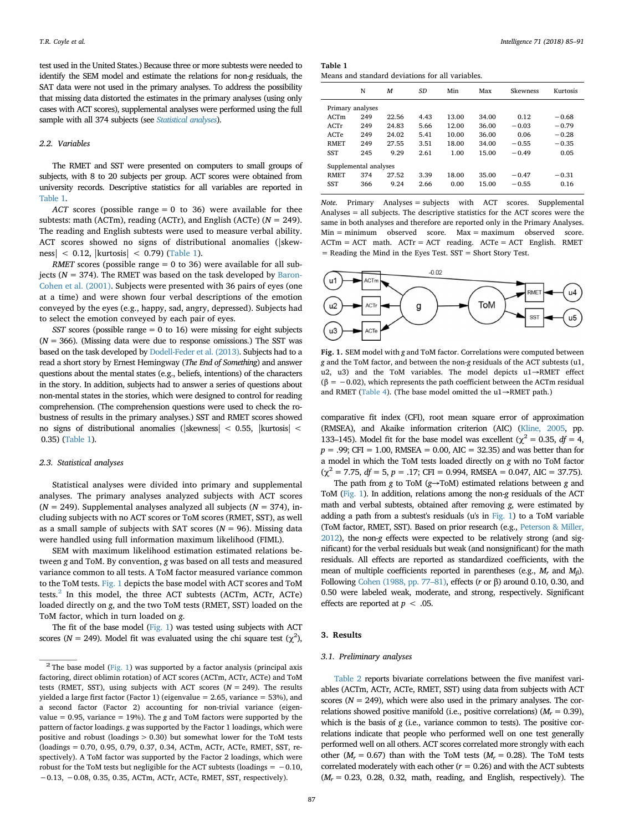test used in the United States.) Because three or more subtests were needed to identify the SEM model and estimate the relations for non-*g* residuals, the SAT data were not used in the primary analyses. To address the possibility that missing data distorted the estimates in the primary analyses (using only cases with ACT scores), supplemental analyses were performed using the full sample with all 374 subjects (see *[Statistical analyses](#page-2-0)*).

# *2.2. Variables*

The RMET and SST were presented on computers to small groups of subjects, with 8 to 20 subjects per group. ACT scores were obtained from university records. Descriptive statistics for all variables are reported in [Table 1](#page-2-1).

*ACT* scores (possible range = 0 to 36) were available for thee subtests: math (ACTm), reading (ACTr), and English (ACTe) ( $N = 249$ ). The reading and English subtests were used to measure verbal ability. ACT scores showed no signs of distributional anomalies (|skewness $|$  < 0.12,  $|$ kurtosis $|$  < 0.79) [\(Table 1\)](#page-2-1).

*RMET* scores (possible range = 0 to 36) were available for all subjects ( $N = 374$ ). The RMET was based on the task developed by [Baron-](#page-5-4)[Cohen et al. \(2001\).](#page-5-4) Subjects were presented with 36 pairs of eyes (one at a time) and were shown four verbal descriptions of the emotion conveyed by the eyes (e.g., happy, sad, angry, depressed). Subjects had to select the emotion conveyed by each pair of eyes.

*SST* scores (possible range = 0 to 16) were missing for eight subjects  $(N = 366)$ . (Missing data were due to response omissions.) The SST was based on the task developed by [Dodell-Feder et al. \(2013\)](#page-6-18). Subjects had to a read a short story by Ernest Hemingway (*The End of Something*) and answer questions about the mental states (e.g., beliefs, intentions) of the characters in the story. In addition, subjects had to answer a series of questions about non-mental states in the stories, which were designed to control for reading comprehension. (The comprehension questions were used to check the robustness of results in the primary analyses.) SST and RMET scores showed no signs of distributional anomalies (|skewness| < 0.55, |kurtosis| < 0.35) [\(Table 1](#page-2-1)).

## <span id="page-2-0"></span>*2.3. Statistical analyses*

Statistical analyses were divided into primary and supplemental analyses. The primary analyses analyzed subjects with ACT scores  $(N = 249)$ . Supplemental analyses analyzed all subjects  $(N = 374)$ , including subjects with no ACT scores or ToM scores (RMET, SST), as well as a small sample of subjects with SAT scores ( $N = 96$ ). Missing data were handled using full information maximum likelihood (FIML).

SEM with maximum likelihood estimation estimated relations between *g* and ToM. By convention, *g* was based on all tests and measured variance common to all tests. A ToM factor measured variance common to the ToM tests. [Fig. 1](#page-2-2) depicts the base model with ACT scores and ToM tests.<sup>[2](#page-2-3)</sup> In this model, the three ACT subtests (ACTm, ACTr, ACTe) loaded directly on *g*, and the two ToM tests (RMET, SST) loaded on the ToM factor, which in turn loaded on *g*.

The fit of the base model [\(Fig. 1](#page-2-2)) was tested using subjects with ACT scores ( $N = 249$ ). Model fit was evaluated using the chi square test ( $\chi^2$ ),

<span id="page-2-1"></span>

| Table 1 |  |                                                  |  |  |
|---------|--|--------------------------------------------------|--|--|
|         |  | Means and standard deviations for all variables. |  |  |

|                       | N   | М     | SD   | Min   | Max   | <b>Skewness</b> | Kurtosis |  |
|-----------------------|-----|-------|------|-------|-------|-----------------|----------|--|
| Primary analyses      |     |       |      |       |       |                 |          |  |
| ACTm                  | 249 | 22.56 | 4.43 | 13.00 | 34.00 | 0.12            | $-0.68$  |  |
| ACTr                  | 249 | 24.83 | 5.66 | 12.00 | 36.00 | $-0.03$         | $-0.79$  |  |
| ACTe                  | 249 | 24.02 | 5.41 | 10.00 | 36.00 | 0.06            | $-0.28$  |  |
| <b>RMET</b>           | 249 | 27.55 | 3.51 | 18.00 | 34.00 | $-0.55$         | $-0.35$  |  |
| SST                   | 245 | 9.29  | 2.61 | 1.00  | 15.00 | $-0.49$         | 0.05     |  |
| Supplemental analyses |     |       |      |       |       |                 |          |  |
| <b>RMET</b>           | 374 | 27.52 | 3.39 | 18.00 | 35.00 | $-0.47$         | $-0.31$  |  |
| <b>SST</b>            | 366 | 9.24  | 2.66 | 0.00  | 15.00 | $-0.55$         | 0.16     |  |

*Note.* Primary Analyses = subjects with ACT scores. Supplemental Analyses = all subjects. The descriptive statistics for the ACT scores were the same in both analyses and therefore are reported only in the Primary Analyses. Min = minimum observed score. Max = maximum observed score. ACTm = ACT math. ACTr = ACT reading. ACTe = ACT English. RMET  $=$  Reading the Mind in the Eyes Test. SST  $=$  Short Story Test.

<span id="page-2-2"></span>

**Fig. 1.** SEM model with *g* and ToM factor. Correlations were computed between *g* and the ToM factor, and between the non-*g* residuals of the ACT subtests (u1, u2, u3) and the ToM variables. The model depicts u1→RMET effect  $(β = -0.02)$ , which represents the path coefficient between the ACTm residual and RMET [\(Table 4](#page-3-1)). (The base model omitted the u1→RMET path.)

comparative fit index (CFI), root mean square error of approximation (RMSEA), and Akaike information criterion (AIC) [\(Kline, 2005](#page-6-23), pp. 133–145). Model fit for the base model was excellent ( $\chi^2 = 0.35$ ,  $df = 4$ ,  $p = .99$ ; CFI = 1.00, RMSEA = 0.00, AIC = 32.35) and was better than for a model in which the ToM tests loaded directly on *g* with no ToM factor  $(\chi^2 = 7.75, df = 5, p = .17; CFI = 0.994, RMSEA = 0.047, AIC = 37.75).$ 

The path from *g* to ToM (*g*→ToM) estimated relations between *g* and ToM ([Fig. 1](#page-2-2)). In addition, relations among the non-*g* residuals of the ACT math and verbal subtests, obtained after removing *g*, were estimated by adding a path from a subtest's residuals (u's in [Fig. 1\)](#page-2-2) to a ToM variable (ToM factor, RMET, SST). Based on prior research (e.g., [Peterson & Miller,](#page-6-7) [2012\)](#page-6-7), the non-*g* effects were expected to be relatively strong (and significant) for the verbal residuals but weak (and nonsignificant) for the math residuals. All effects are reported as standardized coefficients, with the mean of multiple coefficients reported in parentheses (e.g., *Mr* and *Mβ*). Following [Cohen \(1988, pp. 77–81\)](#page-6-24), effects (*r* or β) around 0.10, 0.30, and 0.50 were labeled weak, moderate, and strong, respectively. Significant effects are reported at  $p < .05$ .

# **3. Results**

### *3.1. Preliminary analyses*

[Table 2](#page-3-0) reports bivariate correlations between the five manifest variables (ACTm, ACTr, ACTe, RMET, SST) using data from subjects with ACT scores ( $N = 249$ ), which were also used in the primary analyses. The correlations showed positive manifold (i.e., positive correlations)  $(M_r = 0.39)$ , which is the basis of *g* (i.e., variance common to tests). The positive correlations indicate that people who performed well on one test generally performed well on all others. ACT scores correlated more strongly with each other ( $M_r = 0.67$ ) than with the ToM tests ( $M_r = 0.28$ ). The ToM tests correlated moderately with each other  $(r = 0.26)$  and with the ACT subtests  $(M_r = 0.23, 0.28, 0.32, \text{ math}, \text{reading}, \text{ and English}, \text{ respectively}).$  The

<span id="page-2-3"></span> $^2$  The base model [\(Fig. 1\)](#page-2-2) was supported by a factor analysis (principal axis factoring, direct oblimin rotation) of ACT scores (ACTm, ACTr, ACTe) and ToM tests (RMET, SST), using subjects with ACT scores  $(N = 249)$ . The results yielded a large first factor (Factor 1) (eigenvalue = 2.65, variance = 53%), and a second factor (Factor 2) accounting for non-trivial variance (eigenvalue = 0.95, variance = 19%). The *g* and ToM factors were supported by the pattern of factor loadings. *g* was supported by the Factor 1 loadings, which were positive and robust (loadings > 0.30) but somewhat lower for the ToM tests (loadings = 0.70, 0.95, 0.79, 0.37, 0.34, ACTm, ACTr, ACTe, RMET, SST, respectively). A ToM factor was supported by the Factor 2 loadings, which were robust for the ToM tests but negligible for the ACT subtests (loadings =  $-0.10$ , −0.13, −0.08, 0.35, 0.35, ACTm, ACTr, ACTe, RMET, SST, respectively).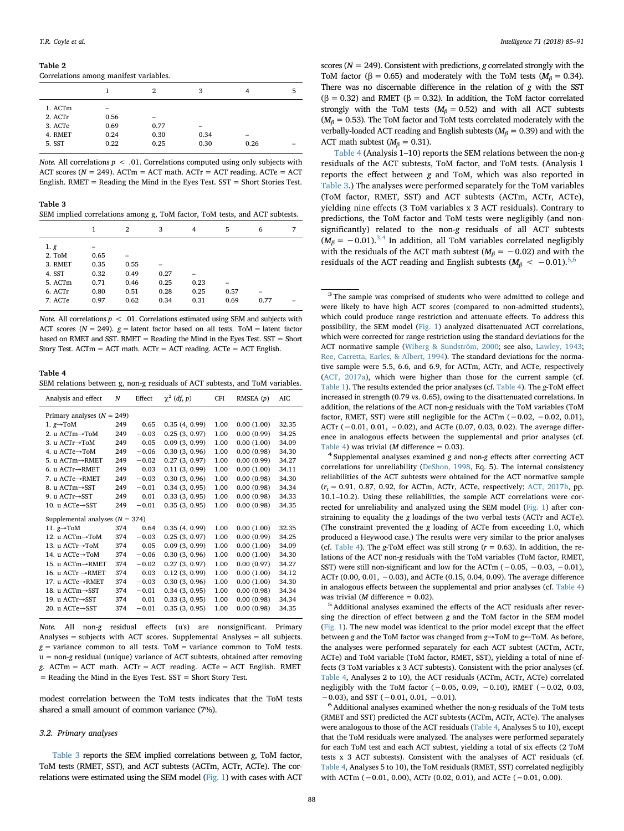#### <span id="page-3-0"></span>**Table 2**

Correlations among manifest variables.

|         |      | 2                        | 3    | 4    | 5 |
|---------|------|--------------------------|------|------|---|
| 1. ACTm | -    |                          |      |      |   |
| 2. ACTr | 0.56 | $\overline{\phantom{a}}$ |      |      |   |
| 3. ACTe | 0.69 | 0.77                     | -    |      |   |
| 4. RMET | 0.24 | 0.30                     | 0.34 | -    |   |
| 5. SST  | 0.22 | 0.25                     | 0.30 | 0.26 |   |

*Note.* All correlations *p* < .01. Correlations computed using only subjects with ACT scores ( $N = 249$ ). ACTm = ACT math. ACTr = ACT reading. ACTe = ACT English. RMET = Reading the Mind in the Eyes Test. SST = Short Stories Test.

<span id="page-3-2"></span>**Table 3** SEM implied correlations among g, ToM factor, ToM tests, and ACT subtests.

|         |      | 2    | 3    | 4    | 5    | 6    | 7 |
|---------|------|------|------|------|------|------|---|
| 1. g    | -    |      |      |      |      |      |   |
| 2. ToM  | 0.65 |      |      |      |      |      |   |
| 3. RMET | 0.35 | 0.55 |      |      |      |      |   |
| 4. SST  | 0.32 | 0.49 | 0.27 |      |      |      |   |
| 5. ACTm | 0.71 | 0.46 | 0.25 | 0.23 |      |      |   |
| 6. ACTr | 0.80 | 0.51 | 0.28 | 0.25 | 0.57 | -    |   |
| 7. ACTe | 0.97 | 0.62 | 0.34 | 0.31 | 0.69 | 0.77 |   |

*Note.* All correlations  $p \leq 0.01$ . Correlations estimated using SEM and subjects with ACT scores ( $N = 249$ ).  $g =$  latent factor based on all tests. ToM = latent factor based on RMET and SST. RMET = Reading the Mind in the Eyes Test. SST = Short Story Test.  $ACTm = ACT math$ .  $ACTr = ACT$  reading.  $ACTr = ACT$  English.

# <span id="page-3-1"></span>**Table 4** SEM relations between g, non-g residuals of ACT subtests, and ToM variables.

| Analysis and effect           | N                                 | Effect  | $\chi^2$ (df, p) | CFI  | RMSEA (p)  | AIC   |  |  |  |
|-------------------------------|-----------------------------------|---------|------------------|------|------------|-------|--|--|--|
| Primary analyses $(N = 249)$  |                                   |         |                  |      |            |       |  |  |  |
| 1. $g \rightarrow$ ToM        | 249                               | 0.65    | 0.35(4, 0.99)    | 1.00 | 0.00(1.00) | 32.35 |  |  |  |
| 2. u ACTm→ToM                 | 249                               | $-0.03$ | 0.25(3, 0.97)    | 1.00 | 0.00(0.99) | 34.25 |  |  |  |
| 3. u ACTr→ToM                 | 249                               | 0.05    | 0.09(3, 0.99)    | 1.00 | 0.00(1.00) | 34.09 |  |  |  |
| 4. u ACTe→ToM                 | 249                               | $-0.06$ | 0.30(3, 0.96)    | 1.00 | 0.00(0.98) | 34.30 |  |  |  |
| 5. u ACTm→RMET                | 249                               | $-0.02$ | 0.27(3, 0.97)    | 1.00 | 0.00(0.99) | 34.27 |  |  |  |
| 6. u $ACTr \rightarrow RMET$  | 249                               | 0.03    | 0.11(3, 0.99)    | 1.00 | 0.00(1.00) | 34.11 |  |  |  |
| 7. u ACTe→RMET                | 249                               | $-0.03$ | 0.30(3, 0.96)    | 1.00 | 0.00(0.98) | 34.30 |  |  |  |
| 8. u ACTm→SST                 | 249                               | $-0.01$ | 0.34(3, 0.95)    | 1.00 | 0.00(0.98) | 34.34 |  |  |  |
| 9. u ACTr→SST                 | 249                               | 0.01    | 0.33(3, 0.95)    | 1.00 | 0.00(0.98) | 34.33 |  |  |  |
| 10. u ACTe→SST                | 249                               | $-0.01$ | 0.35(3, 0.95)    | 1.00 | 0.00(0.98) | 34.35 |  |  |  |
|                               | Supplemental analyses $(N = 374)$ |         |                  |      |            |       |  |  |  |
| 11. $g \rightarrow$ ToM       | 374                               | 0.64    | 0.35(4, 0.99)    | 1.00 | 0.00(1.00) | 32.35 |  |  |  |
| 12. u ACTm→ToM                | 374                               | $-0.03$ | 0.25(3, 0.97)    | 1.00 | 0.00(0.99) | 34.25 |  |  |  |
| 13. u ACTr→ToM                | 374                               | 0.05    | 0.09(3, 0.99)    | 1.00 | 0.00(1.00) | 34.09 |  |  |  |
| 14. u ACTe→ToM                | 374                               | $-0.06$ | 0.30(3, 0.96)    | 1.00 | 0.00(1.00) | 34.30 |  |  |  |
| 15. u ACTm→RMET               | 374                               | $-0.02$ | 0.27(3, 0.97)    | 1.00 | 0.00(0.97) | 34.27 |  |  |  |
| 16. u ACTr $\rightarrow$ RMET | 374                               | 0.03    | 0.12(3, 0.99)    | 1.00 | 0.00(1.00) | 34.12 |  |  |  |
| 17. u ACTe→RMET               | 374                               | $-0.03$ | 0.30(3, 0.96)    | 1.00 | 0.00(1.00) | 34.30 |  |  |  |
| 18. u ACTm→SST                | 374                               | $-0.01$ | 0.34(3, 0.95)    | 1.00 | 0.00(0.98) | 34.34 |  |  |  |
| 19. u ACTr→SST                | 374                               | 0.01    | 0.33(3, 0.95)    | 1.00 | 0.00(0.98) | 34.34 |  |  |  |
| 20. u $ACTe \rightarrow SST$  | 374                               | $-0.01$ | 0.35(3, 0.95)    | 1.00 | 0.00(0.98) | 34.35 |  |  |  |

*Note.* All non-*g* residual effects (u's) are nonsignificant. Primary Analyses = subjects with ACT scores. Supplemental Analyses = all subjects.  $g =$  variance common to all tests. ToM = variance common to ToM tests. u = non-*g* residual (unique) variance of ACT subtests, obtained after removing *g*. ACTm = ACT math. ACTr = ACT reading. ACTe = ACT English. RMET = Reading the Mind in the Eyes Test. SST = Short Story Test.

modest correlation between the ToM tests indicates that the ToM tests shared a small amount of common variance (7%).

#### *3.2. Primary analyses*

[Table 3](#page-3-2) reports the SEM implied correlations between *g*, ToM factor, ToM tests (RMET, SST), and ACT subtests (ACTm, ACTr, ACTe). The correlations were estimated using the SEM model ([Fig. 1](#page-2-2)) with cases with ACT

scores (*N* = 249). Consistent with predictions, *g* correlated strongly with the ToM factor ( $\beta$  = 0.65) and moderately with the ToM tests ( $M_\beta$  = 0.34). There was no discernable difference in the relation of *g* with the SST (β = 0.32) and RMET (β = 0.32). In addition, the ToM factor correlated strongly with the ToM tests ( $M_\beta$  = 0.52) and with all ACT subtests  $(M_\beta = 0.53)$ . The ToM factor and ToM tests correlated moderately with the verbally-loaded ACT reading and English subtests ( $M_\beta$  = 0.39) and with the ACT math subtest ( $M_\beta$  = 0.31).

[Table 4](#page-3-1) (Analysis 1–10) reports the SEM relations between the non-*g* residuals of the ACT subtests, ToM factor, and ToM tests. (Analysis 1 reports the effect between *g* and ToM, which was also reported in [Table 3.](#page-3-2)) The analyses were performed separately for the ToM variables (ToM factor, RMET, SST) and ACT subtests (ACTm, ACTr, ACTe), yielding nine effects (3 ToM variables x 3 ACT residuals). Contrary to predictions, the ToM factor and ToM tests were negligibly (and nonsignificantly) related to the non-*g* residuals of all ACT subtests  $(M_\beta = -0.01).^{3,4}$  $(M_\beta = -0.01).^{3,4}$  $(M_\beta = -0.01).^{3,4}$  $(M_\beta = -0.01).^{3,4}$  In addition, all ToM variables correlated negligibly with the residuals of the ACT math subtest ( $M_\beta$  =  $-0.02$ ) and with the residuals of the ACT reading and English subtests ( $M_\beta < -0.01$ ).<sup>[5](#page-3-5),[6](#page-3-6)</sup>

<span id="page-3-3"></span><sup>3</sup> The sample was comprised of students who were admitted to college and were likely to have high ACT scores (compared to non-admitted students), which could produce range restriction and attenuate effects. To address this possibility, the SEM model ([Fig. 1\)](#page-2-2) analyzed disattenuated ACT correlations, which were corrected for range restriction using the standard deviations for the ACT normative sample ([Wiberg & Sundström, 2000](#page-6-25); see also, [Lawley, 1943;](#page-6-26) [Ree, Carretta, Earles, & Albert, 1994](#page-6-27)). The standard deviations for the normative sample were 5.5, 6.6, and 6.9, for ACTm, ACTr, and ACTe, respectively [\(ACT, 2017a](#page-5-5)), which were higher than those for the current sample (cf. [Table 1](#page-2-1)). The results extended the prior analyses (cf. [Table 4\)](#page-3-1). The *g*-ToM effect increased in strength (0.79 vs. 0.65), owing to the disattenuated correlations. In addition, the relations of the ACT non-*g* residuals with the ToM variables (ToM factor, RMET, SST) were still negligible for the ACTm (−0.02, −0.02, 0.01), ACTr (−0.01, 0.01, −0.02), and ACTe (0.07, 0.03, 0.02). The average difference in analogous effects between the supplemental and prior analyses (cf. [Table 4\)](#page-3-1) was trivial (*M* difference = 0.03).<br><sup>4</sup> Supplemental analyses examined *g* and non-*g* effects after correcting ACT

<span id="page-3-4"></span>correlations for unreliability ([DeShon, 1998](#page-6-28), Eq. 5). The internal consistency reliabilities of the ACT subtests were obtained for the ACT normative sample  $(r_t = 0.91, 0.87, 0.92,$  for ACTm, ACTr, ACTe, respectively; [ACT, 2017b,](#page-5-6) pp. 10.1–10.2). Using these reliabilities, the sample ACT correlations were corrected for unreliability and analyzed using the SEM model ([Fig. 1](#page-2-2)) after constraining to equality the *g* loadings of the two verbal tests (ACTr and ACTe). (The constraint prevented the *g* loading of ACTe from exceeding 1.0, which produced a Heywood case.) The results were very similar to the prior analyses (cf. [Table 4\)](#page-3-1). The *g*-ToM effect was still strong (*r* = 0.63). In addition, the relations of the ACT non-*g* residuals with the ToM variables (ToM factor, RMET, SST) were still non-significant and low for the ACTm ( $-0.05, -0.03, -0.01$ ), ACTr (0.00, 0.01, −0.03), and ACTe (0.15, 0.04, 0.09). The average difference in analogous effects between the supplemental and prior analyses (cf. [Table 4\)](#page-3-1) was trivial (*M* difference = 0.02).<br><sup>5</sup> Additional analyses examined the effects of the ACT residuals after rever-

<span id="page-3-5"></span>sing the direction of effect between *g* and the ToM factor in the SEM model [\(Fig. 1](#page-2-2)). The new model was identical to the prior model except that the effect between *g* and the ToM factor was changed from *g*→ToM to *g*←ToM. As before, the analyses were performed separately for each ACT subtest (ACTm, ACTr, ACTe) and ToM variable (ToM factor, RMET, SST), yielding a total of nine effects (3 ToM variables x 3 ACT subtests). Consistent with the prior analyses (cf. [Table 4,](#page-3-1) Analyses 2 to 10), the ACT residuals (ACTm, ACTr, ACTe) correlated negligibly with the ToM factor  $(-0.05, 0.09, -0.10)$ , RMET  $(-0.02, 0.03,$  $-0.03$ ), and SST ( $-0.01$ ,  $0.01$ ,  $-0.01$ ).

<span id="page-3-6"></span>6Additional analyses examined whether the non-*<sup>g</sup>* residuals of the ToM tests (RMET and SST) predicted the ACT subtests (ACTm, ACTr, ACTe). The analyses were analogous to those of the ACT residuals [\(Table 4](#page-3-1), Analyses 5 to 10), except that the ToM residuals were analyzed. The analyses were performed separately for each ToM test and each ACT subtest, yielding a total of six effects (2 ToM tests x 3 ACT subtests). Consistent with the analyses of ACT residuals (cf. [Table 4](#page-3-1), Analyses 5 to 10), the ToM residuals (RMET, SST) correlated negligibly with ACTm (−0.01, 0.00), ACTr (0.02, 0.01), and ACTe (−0.01, 0.00).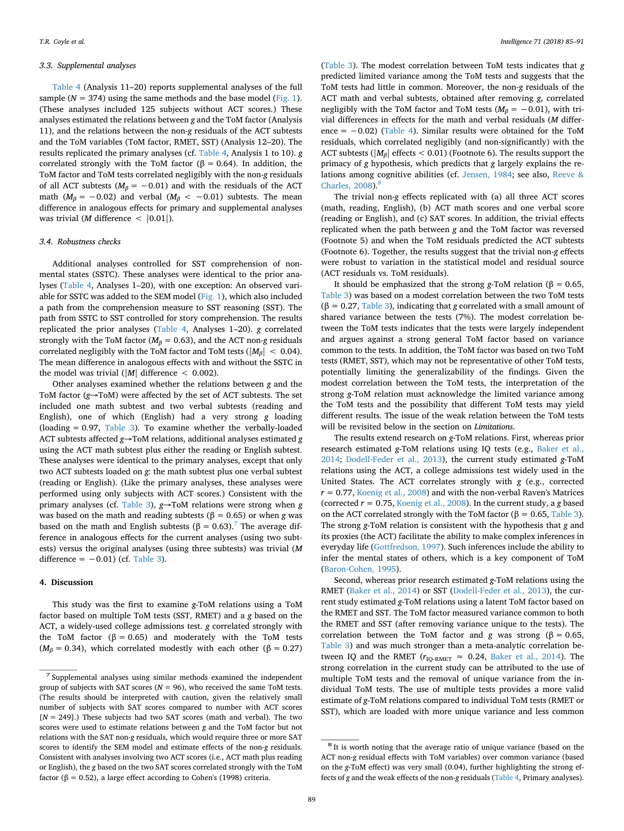#### *3.3. Supplemental analyses*

[Table 4](#page-3-1) (Analysis 11–20) reports supplemental analyses of the full sample ( $N = 374$ ) using the same methods and the base model ([Fig. 1](#page-2-2)). (These analyses included 125 subjects without ACT scores.) These analyses estimated the relations between *g* and the ToM factor (Analysis 11), and the relations between the non-*g* residuals of the ACT subtests and the ToM variables (ToM factor, RMET, SST) (Analysis 12–20). The results replicated the primary analyses (cf. [Table 4](#page-3-1), Analysis 1 to 10). *g* correlated strongly with the ToM factor ( $\beta = 0.64$ ). In addition, the ToM factor and ToM tests correlated negligibly with the non-*g* residuals of all ACT subtests ( $M_\beta$  = -0.01) and with the residuals of the ACT math ( $M_\beta$  = -0.02) and verbal ( $M_\beta$  < -0.01) subtests. The mean difference in analogous effects for primary and supplemental analyses was trivial (*M* difference  $\langle$  [0.01]).

## *3.4. Robustness checks*

Additional analyses controlled for SST comprehension of nonmental states (SSTC). These analyses were identical to the prior analyses [\(Table 4](#page-3-1), Analyses 1–20), with one exception: An observed variable for SSTC was added to the SEM model [\(Fig. 1\)](#page-2-2), which also included a path from the comprehension measure to SST reasoning (SST). The path from SSTC to SST controlled for story comprehension. The results replicated the prior analyses ([Table 4,](#page-3-1) Analyses 1–20). *g* correlated strongly with the ToM factor ( $M<sub>\beta</sub> = 0.63$ ), and the ACT non-*g* residuals correlated negligibly with the ToM factor and ToM tests ( $|M_B|$  < 0.04). The mean difference in analogous effects with and without the SSTC in the model was trivial  $\left(\frac{|M|}{\text{difference}}\right) < 0.002$ ).

Other analyses examined whether the relations between *g* and the ToM factor (*g*→ToM) were affected by the set of ACT subtests. The set included one math subtest and two verbal subtests (reading and English), one of which (English) had a very strong *g* loading (loading = 0.97, [Table 3](#page-3-2)). To examine whether the verbally-loaded ACT subtests affected *g*→ToM relations, additional analyses estimated *g* using the ACT math subtest plus either the reading or English subtest. These analyses were identical to the primary analyses, except that only two ACT subtests loaded on *g*: the math subtest plus one verbal subtest (reading or English). (Like the primary analyses, these analyses were performed using only subjects with ACT scores.) Consistent with the primary analyses (cf. [Table 3\)](#page-3-2), *g*→ToM relations were strong when *g* was based on the math and reading subtests ( $β = 0.65$ ) or when *g* was based on the math and English subtests ( $\beta = 0.63$ ).<sup>7</sup> The average difference in analogous effects for the current analyses (using two subtests) versus the original analyses (using three subtests) was trivial (*M* difference =  $-0.01$ ) (cf. [Table 3](#page-3-2)).

## **4. Discussion**

This study was the first to examine *g*-ToM relations using a ToM factor based on multiple ToM tests (SST, RMET) and a *g* based on the ACT, a widely-used college admissions test. *g* correlated strongly with the ToM factor ( $β = 0.65$ ) and moderately with the ToM tests ( $M_\beta$  = 0.34), which correlated modestly with each other ( $\beta$  = 0.27)

([Table 3\)](#page-3-2). The modest correlation between ToM tests indicates that *g* predicted limited variance among the ToM tests and suggests that the ToM tests had little in common. Moreover, the non-*g* residuals of the ACT math and verbal subtests, obtained after removing *g*, correlated negligibly with the ToM factor and ToM tests ( $M_\beta$  = -0.01), with trivial differences in effects for the math and verbal residuals (*M* difference = −0.02) ([Table 4](#page-3-1)). Similar results were obtained for the ToM residuals, which correlated negligibly (and non-significantly) with the ACT subtests ( $|M_\beta|$  effects < 0.01) (Footnote 6). The results support the primacy of *g* hypothesis, which predicts that *g* largely explains the relations among cognitive abilities (cf. [Jensen, 1984;](#page-6-11) see also, [Reeve &](#page-6-12) [Charles, 2008\)](#page-6-12).<sup>[8](#page-4-1)</sup>

The trivial non-*g* effects replicated with (a) all three ACT scores (math, reading, English), (b) ACT math scores and one verbal score (reading or English), and (c) SAT scores. In addition, the trivial effects replicated when the path between *g* and the ToM factor was reversed (Footnote 5) and when the ToM residuals predicted the ACT subtests (Footnote 6). Together, the results suggest that the trivial non-*g* effects were robust to variation in the statistical model and residual source (ACT residuals vs. ToM residuals).

It should be emphasized that the strong *g*-ToM relation (β = 0.65, [Table 3\)](#page-3-2) was based on a modest correlation between the two ToM tests (β = 0.27, [Table 3\)](#page-3-2), indicating that *g* correlated with a small amount of shared variance between the tests (7%). The modest correlation between the ToM tests indicates that the tests were largely independent and argues against a strong general ToM factor based on variance common to the tests. In addition, the ToM factor was based on two ToM tests (RMET, SST), which may not be representative of other ToM tests, potentially limiting the generalizability of the findings. Given the modest correlation between the ToM tests, the interpretation of the strong *g*-ToM relation must acknowledge the limited variance among the ToM tests and the possibility that different ToM tests may yield different results. The issue of the weak relation between the ToM tests will be revisited below in the section on *Limitations*.

The results extend research on *g*-ToM relations. First, whereas prior research estimated *g*-ToM relations using IQ tests (e.g., [Baker et al.,](#page-5-0) [2014;](#page-5-0) [Dodell-Feder et al., 2013](#page-6-18)), the current study estimated *g*-ToM relations using the ACT, a college admissions test widely used in the United States. The ACT correlates strongly with *g* (e.g., corrected  $r = 0.77$ , [Koenig et al., 2008](#page-6-13)) and with the non-verbal Raven's Matrices (corrected *r* = 0.75, [Koenig et al., 2008\)](#page-6-13). In the current study, a *g* based on the ACT correlated strongly with the ToM factor ( $\beta = 0.65$ , [Table 3](#page-3-2)). The strong *g*-ToM relation is consistent with the hypothesis that *g* and its proxies (the ACT) facilitate the ability to make complex inferences in everyday life [\(Gottfredson, 1997\)](#page-6-4). Such inferences include the ability to infer the mental states of others, which is a key component of ToM ([Baron-Cohen, 1995](#page-5-1)).

Second, whereas prior research estimated *g*-ToM relations using the RMET ([Baker et al., 2014\)](#page-5-0) or SST ([Dodell-Feder et al., 2013\)](#page-6-18), the current study estimated *g*-ToM relations using a latent ToM factor based on the RMET and SST. The ToM factor measured variance common to both the RMET and SST (after removing variance unique to the tests). The correlation between the ToM factor and *g* was strong ( $\beta = 0.65$ , [Table 3\)](#page-3-2) and was much stronger than a meta-analytic correlation between IQ and the RMET ( $r_{\text{IO-RMET}} \approx 0.24$ , [Baker et al., 2014](#page-5-0)). The strong correlation in the current study can be attributed to the use of multiple ToM tests and the removal of unique variance from the individual ToM tests. The use of multiple tests provides a more valid estimate of *g*-ToM relations compared to individual ToM tests (RMET or SST), which are loaded with more unique variance and less common

<span id="page-4-0"></span><sup>7</sup> Supplemental analyses using similar methods examined the independent group of subjects with SAT scores ( $N = 96$ ), who received the same ToM tests. (The results should be interpreted with caution, given the relatively small number of subjects with SAT scores compared to number with ACT scores [*N* = 249].) These subjects had two SAT scores (math and verbal). The two scores were used to estimate relations between *g* and the ToM factor but not relations with the SAT non-*g* residuals, which would require three or more SAT scores to identify the SEM model and estimate effects of the non-*g* residuals. Consistent with analyses involving two ACT scores (i.e., ACT math plus reading or English), the *g* based on the two SAT scores correlated strongly with the ToM factor ( $\beta$  = 0.52), a large effect according to Cohen's (1998) criteria.

<span id="page-4-1"></span><sup>&</sup>lt;sup>8</sup> It is worth noting that the average ratio of unique variance (based on the ACT non-*g* residual effects with ToM variables) over common variance (based on the *g*-ToM effect) was very small (0.04), further highlighting the strong effects of *g* and the weak effects of the non-*g* residuals [\(Table 4,](#page-3-1) Primary analyses).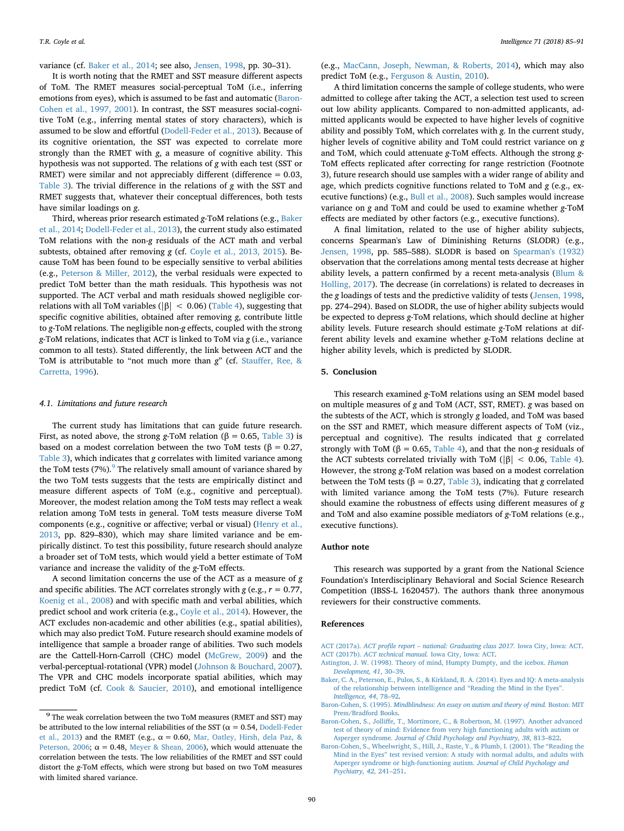variance (cf. [Baker et al., 2014](#page-5-0); see also, [Jensen, 1998](#page-6-8), pp. 30–31).

It is worth noting that the RMET and SST measure different aspects of ToM. The RMET measures social-perceptual ToM (i.e., inferring emotions from eyes), which is assumed to be fast and automatic [\(Baron-](#page-5-3)[Cohen et al., 1997, 2001](#page-5-3)). In contrast, the SST measures social-cognitive ToM (e.g., inferring mental states of story characters), which is assumed to be slow and effortful ([Dodell-Feder et al., 2013](#page-6-18)). Because of its cognitive orientation, the SST was expected to correlate more strongly than the RMET with *g*, a measure of cognitive ability. This hypothesis was not supported. The relations of *g* with each test (SST or RMET) were similar and not appreciably different (difference  $= 0.03$ , [Table 3\)](#page-3-2). The trivial difference in the relations of *g* with the SST and RMET suggests that, whatever their conceptual differences, both tests have similar loadings on *g*.

Third, whereas prior research estimated *g*-ToM relations (e.g., [Baker](#page-5-0) [et al., 2014](#page-5-0); [Dodell-Feder et al., 2013\)](#page-6-18), the current study also estimated ToM relations with the non-*g* residuals of the ACT math and verbal subtests, obtained after removing *g* (cf. [Coyle et al., 2013, 2015](#page-6-9)). Because ToM has been found to be especially sensitive to verbal abilities (e.g., [Peterson & Miller, 2012\)](#page-6-7), the verbal residuals were expected to predict ToM better than the math residuals. This hypothesis was not supported. The ACT verbal and math residuals showed negligible correlations with all ToM variables ( $|\beta| < 0.06$ ) [\(Table 4](#page-3-1)), suggesting that specific cognitive abilities, obtained after removing *g*, contribute little to *g*-ToM relations. The negligible non-*g* effects, coupled with the strong *g*-ToM relations, indicates that ACT is linked to ToM via *g* (i.e., variance common to all tests). Stated differently, the link between ACT and the ToM is attributable to "not much more than *g*" (cf. [Stauffer, Ree, &](#page-6-29) [Carretta, 1996](#page-6-29)).

#### *4.1. Limitations and future research*

The current study has limitations that can guide future research. First, as noted above, the strong *g*-ToM relation ( $\beta$  = 0.65, [Table 3](#page-3-2)) is based on a modest correlation between the two ToM tests (β = 0.27, [Table 3\)](#page-3-2), which indicates that *g* correlates with limited variance among the ToM tests (7%). $9^9$  $9^9$  The relatively small amount of variance shared by the two ToM tests suggests that the tests are empirically distinct and measure different aspects of ToM (e.g., cognitive and perceptual). Moreover, the modest relation among the ToM tests may reflect a weak relation among ToM tests in general. ToM tests measure diverse ToM components (e.g., cognitive or affective; verbal or visual) ([Henry et al.,](#page-6-20) [2013,](#page-6-20) pp. 829–830), which may share limited variance and be empirically distinct. To test this possibility, future research should analyze a broader set of ToM tests, which would yield a better estimate of ToM variance and increase the validity of the *g*-ToM effects.

A second limitation concerns the use of the ACT as a measure of *g* and specific abilities. The ACT correlates strongly with *g* (e.g., *r* = 0.77, [Koenig et al., 2008](#page-6-13)) and with specific math and verbal abilities, which predict school and work criteria (e.g., [Coyle et al., 2014](#page-6-21)). However, the ACT excludes non-academic and other abilities (e.g., spatial abilities), which may also predict ToM. Future research should examine models of intelligence that sample a broader range of abilities. Two such models are the Cattell-Horn-Carroll (CHC) model ([McGrew, 2009\)](#page-6-30) and the verbal-perceptual-rotational (VPR) model ([Johnson & Bouchard, 2007](#page-6-31)). The VPR and CHC models incorporate spatial abilities, which may predict ToM (cf. [Cook & Saucier, 2010\)](#page-6-32), and emotional intelligence

(e.g., [MacCann, Joseph, Newman, & Roberts, 2014\)](#page-6-33), which may also predict ToM (e.g., [Ferguson & Austin, 2010\)](#page-6-34).

A third limitation concerns the sample of college students, who were admitted to college after taking the ACT, a selection test used to screen out low ability applicants. Compared to non-admitted applicants, admitted applicants would be expected to have higher levels of cognitive ability and possibly ToM, which correlates with *g*. In the current study, higher levels of cognitive ability and ToM could restrict variance on *g* and ToM, which could attenuate *g*-ToM effects. Although the strong *g*-ToM effects replicated after correcting for range restriction (Footnote 3), future research should use samples with a wider range of ability and age, which predicts cognitive functions related to ToM and *g* (e.g., executive functions) (e.g., [Bull et al., 2008](#page-6-6)). Such samples would increase variance on *g* and ToM and could be used to examine whether *g*-ToM effects are mediated by other factors (e.g., executive functions).

A final limitation, related to the use of higher ability subjects, concerns Spearman's Law of Diminishing Returns (SLODR) (e.g., [Jensen, 1998,](#page-6-8) pp. 585–588). SLODR is based on [Spearman's \(1932\)](#page-6-35) observation that the correlations among mental tests decrease at higher ability levels, a pattern confirmed by a recent meta-analysis [\(Blum &](#page-6-36) [Holling, 2017](#page-6-36)). The decrease (in correlations) is related to decreases in the *g* loadings of tests and the predictive validity of tests [\(Jensen, 1998](#page-6-8), pp. 274–294). Based on SLODR, the use of higher ability subjects would be expected to depress *g*-ToM relations, which should decline at higher ability levels. Future research should estimate *g*-ToM relations at different ability levels and examine whether *g*-ToM relations decline at higher ability levels, which is predicted by SLODR.

# **5. Conclusion**

This research examined *g*-ToM relations using an SEM model based on multiple measures of *g* and ToM (ACT, SST, RMET). *g* was based on the subtests of the ACT, which is strongly *g* loaded, and ToM was based on the SST and RMET, which measure different aspects of ToM (viz., perceptual and cognitive). The results indicated that *g* correlated strongly with ToM ( $\beta$  = 0.65, [Table 4\)](#page-3-1), and that the non-*g* residuals of the ACT subtests correlated trivially with ToM ( $|\beta|$  < 0.06, [Table 4](#page-3-1)). However, the strong *g*-ToM relation was based on a modest correlation between the ToM tests (β = 0.27, [Table 3](#page-3-2)), indicating that *g* correlated with limited variance among the ToM tests (7%). Future research should examine the robustness of effects using different measures of *g* and ToM and also examine possible mediators of *g*-ToM relations (e.g., executive functions).

# **Author note**

This research was supported by a grant from the National Science Foundation's Interdisciplinary Behavioral and Social Science Research Competition (IBSS-L 1620457). The authors thank three anonymous reviewers for their constructive comments.

#### **References**

- <span id="page-5-6"></span><span id="page-5-5"></span>ACT (2017a). *[ACT profile report – national: Graduating class 2017.](http://refhub.elsevier.com/S0160-2896(17)30365-3/rf0005)* Iowa City, Iowa: ACT. ACT (2017b). *[ACT technical manual.](http://refhub.elsevier.com/S0160-2896(17)30365-3/rf0010)* Iowa City, Iowa: ACT.
- <span id="page-5-2"></span>[Astington, J. W. \(1998\). Theory of mind, Humpty Dumpty, and the icebox.](http://refhub.elsevier.com/S0160-2896(17)30365-3/rf0015) *Human [Development, 41](http://refhub.elsevier.com/S0160-2896(17)30365-3/rf0015)*, 30–39.
- <span id="page-5-0"></span>[Baker, C. A., Peterson, E., Pulos, S., & Kirkland, R. A. \(2014\). Eyes and IQ: A meta-analysis](http://refhub.elsevier.com/S0160-2896(17)30365-3/rf0020) [of the relationship between intelligence and "Reading the Mind in the Eyes".](http://refhub.elsevier.com/S0160-2896(17)30365-3/rf0020) *[Intelligence, 44](http://refhub.elsevier.com/S0160-2896(17)30365-3/rf0020)*, 78–92.
- <span id="page-5-1"></span>Baron-Cohen, S. (1995). *[Mindblindness: An essay on autism and theory of mind.](http://refhub.elsevier.com/S0160-2896(17)30365-3/rf0025)* Boston: MIT [Press/Bradford Books.](http://refhub.elsevier.com/S0160-2896(17)30365-3/rf0025)
- <span id="page-5-3"></span>[Baron-Cohen, S., Jolliffe, T., Mortimore, C., & Robertson, M. \(1997\). Another advanced](http://refhub.elsevier.com/S0160-2896(17)30365-3/rf0030) [test of theory of mind: Evidence from very high functioning adults with autism or](http://refhub.elsevier.com/S0160-2896(17)30365-3/rf0030) Asperger syndrome. *[Journal of Child Psychology and Psychiatry, 38](http://refhub.elsevier.com/S0160-2896(17)30365-3/rf0030)*, 813–822.
- <span id="page-5-4"></span>[Baron-Cohen, S., Wheelwright, S., Hill, J., Raste, Y., & Plumb, I. \(2001\). The "Reading the](http://refhub.elsevier.com/S0160-2896(17)30365-3/rf0035) [Mind in the Eyes" test revised version: A study with normal adults, and adults with](http://refhub.elsevier.com/S0160-2896(17)30365-3/rf0035) [Asperger syndrome or high-functioning autism.](http://refhub.elsevier.com/S0160-2896(17)30365-3/rf0035) *Journal of Child Psychology and [Psychiatry, 42](http://refhub.elsevier.com/S0160-2896(17)30365-3/rf0035)*, 241–251.

<span id="page-5-7"></span> $^9$  The weak correlation between the two ToM measures (RMET and SST) may be attributed to the low internal reliabilities of the SST ( $\alpha = 0.54$ , [Dodell-Feder](#page-6-18) [et al., 2013\)](#page-6-18) and the RMET (e.g.,  $\alpha = 0.60$ , [Mar, Oatley, Hirsh, dela Paz, &](#page-6-37) [Peterson, 2006;](#page-6-37)  $\alpha = 0.48$ , [Meyer & Shean, 2006](#page-6-38)), which would attenuate the correlation between the tests. The low reliabilities of the RMET and SST could distort the *g*-ToM effects, which were strong but based on two ToM measures with limited shared variance.